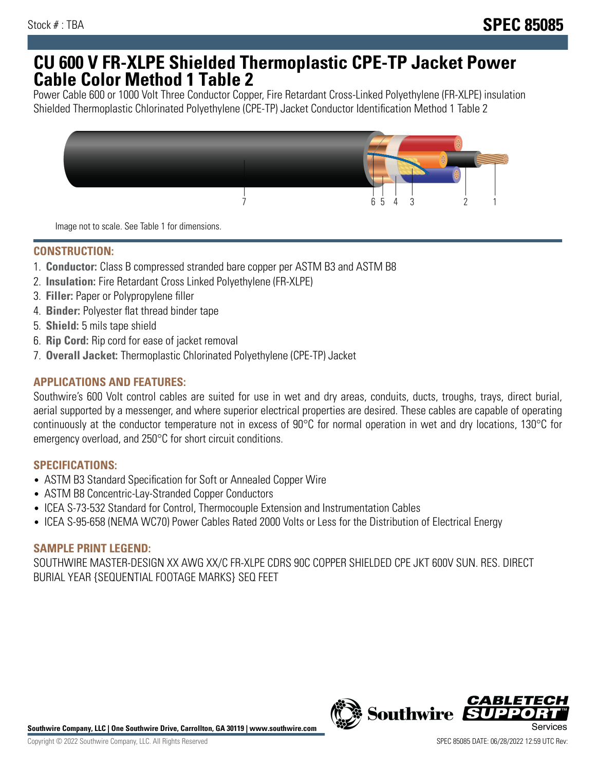## **CU 600 V FR-XLPE Shielded Thermoplastic CPE-TP Jacket Power Cable Color Method 1 Table 2**

Power Cable 600 or 1000 Volt Three Conductor Copper, Fire Retardant Cross-Linked Polyethylene (FR-XLPE) insulation Shielded Thermoplastic Chlorinated Polyethylene (CPE-TP) Jacket Conductor Identification Method 1 Table 2



Image not to scale. See Table 1 for dimensions.

## **CONSTRUCTION:**

- 1. **Conductor:** Class B compressed stranded bare copper per ASTM B3 and ASTM B8
- 2. **Insulation:** Fire Retardant Cross Linked Polyethylene (FR-XLPE)
- 3. **Filler:** Paper or Polypropylene filler
- 4. **Binder:** Polyester flat thread binder tape
- 5. **Shield:** 5 mils tape shield
- 6. **Rip Cord:** Rip cord for ease of jacket removal
- 7. **Overall Jacket:** Thermoplastic Chlorinated Polyethylene (CPE-TP) Jacket

## **APPLICATIONS AND FEATURES:**

Southwire's 600 Volt control cables are suited for use in wet and dry areas, conduits, ducts, troughs, trays, direct burial, aerial supported by a messenger, and where superior electrical properties are desired. These cables are capable of operating continuously at the conductor temperature not in excess of 90°C for normal operation in wet and dry locations, 130°C for emergency overload, and 250°C for short circuit conditions.

#### **SPECIFICATIONS:**

- ASTM B3 Standard Specification for Soft or Annealed Copper Wire
- ASTM B8 Concentric-Lay-Stranded Copper Conductors
- ICEA S-73-532 Standard for Control, Thermocouple Extension and Instrumentation Cables
- ICEA S-95-658 (NEMA WC70) Power Cables Rated 2000 Volts or Less for the Distribution of Electrical Energy

#### **SAMPLE PRINT LEGEND:**

SOUTHWIRE MASTER-DESIGN XX AWG XX/C FR-XLPE CDRS 90C COPPER SHIELDED CPE JKT 600V SUN. RES. DIRECT BURIAL YEAR {SEQUENTIAL FOOTAGE MARKS} SEQ FEET



*CABLE*